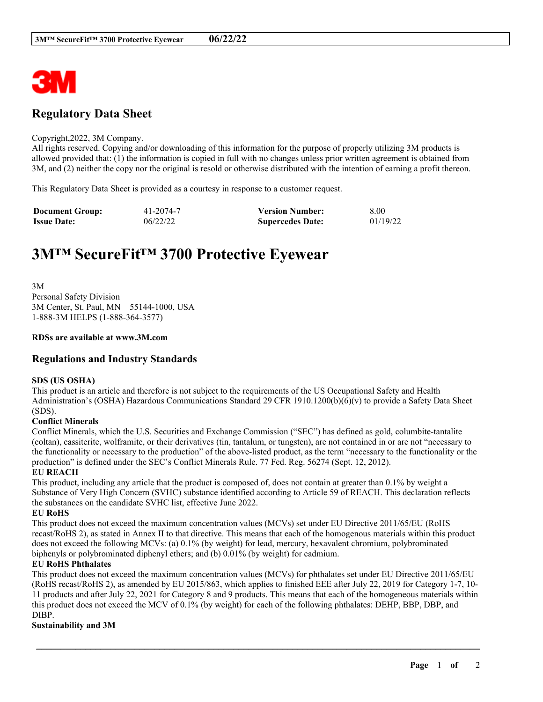

# **Regulatory Data Sheet**

#### Copyright,2022, 3M Company.

All rights reserved. Copying and/or downloading of this information for the purpose of properly utilizing 3M products is allowed provided that: (1) the information is copied in full with no changes unless prior written agreement is obtained from 3M, and (2) neither the copy nor the original is resold or otherwise distributed with the intention of earning a profit thereon.

This Regulatory Data Sheet is provided as a courtesy in response to a customer request.

| <b>Document Group:</b> | 41-2074-7 | <b>Version Number:</b>  | 8.00     |
|------------------------|-----------|-------------------------|----------|
| <b>Issue Date:</b>     | 06/22/22  | <b>Supercedes Date:</b> | 01/19/22 |

# **3M™ SecureFit™ 3700 Protective Eyewear**

3M Personal Safety Division 3M Center, St. Paul, MN 55144-1000, USA 1-888-3M HELPS (1-888-364-3577)

#### **RDSs are available at www.3M.com**

### **Regulations and Industry Standards**

#### **SDS (US OSHA)**

This product is an article and therefore is not subject to the requirements of the US Occupational Safety and Health Administration's (OSHA) Hazardous Communications Standard 29 CFR 1910.1200(b)(6)(v) to provide a Safety Data Sheet (SDS).

#### **Conflict Minerals**

Conflict Minerals, which the U.S. Securities and Exchange Commission ("SEC") has defined as gold, columbite-tantalite (coltan), cassiterite, wolframite, or their derivatives (tin, tantalum, or tungsten), are not contained in or are not "necessary to the functionality or necessary to the production" of the above-listed product, as the term "necessary to the functionality or the production" is defined under the SEC's Conflict Minerals Rule. 77 Fed. Reg. 56274 (Sept. 12, 2012).

#### **EU REACH**

This product, including any article that the product is composed of, does not contain at greater than 0.1% by weight a Substance of Very High Concern (SVHC) substance identified according to Article 59 of REACH. This declaration reflects the substances on the candidate SVHC list, effective June 2022.

#### **EU RoHS**

This product does not exceed the maximum concentration values (MCVs) set under EU Directive 2011/65/EU (RoHS recast/RoHS 2), as stated in Annex II to that directive. This means that each of the homogenous materials within this product does not exceed the following MCVs: (a) 0.1% (by weight) for lead, mercury, hexavalent chromium, polybrominated biphenyls or polybrominated diphenyl ethers; and (b) 0.01% (by weight) for cadmium.

#### **EU RoHS Phthalates**

This product does not exceed the maximum concentration values (MCVs) for phthalates set under EU Directive 2011/65/EU (RoHS recast/RoHS 2), as amended by EU 2015/863, which applies to finished EEE after July 22, 2019 for Category 1-7, 10- 11 products and after July 22, 2021 for Category 8 and 9 products. This means that each of the homogeneous materials within this product does not exceed the MCV of 0.1% (by weight) for each of the following phthalates: DEHP, BBP, DBP, and DIBP.

\_\_\_\_\_\_\_\_\_\_\_\_\_\_\_\_\_\_\_\_\_\_\_\_\_\_\_\_\_\_\_\_\_\_\_\_\_\_\_\_\_\_\_\_\_\_\_\_\_\_\_\_\_\_\_\_\_\_\_\_\_\_\_\_\_\_\_\_\_\_\_\_\_\_\_\_\_\_\_\_\_\_\_\_\_\_\_\_\_\_

#### **Sustainability and 3M**